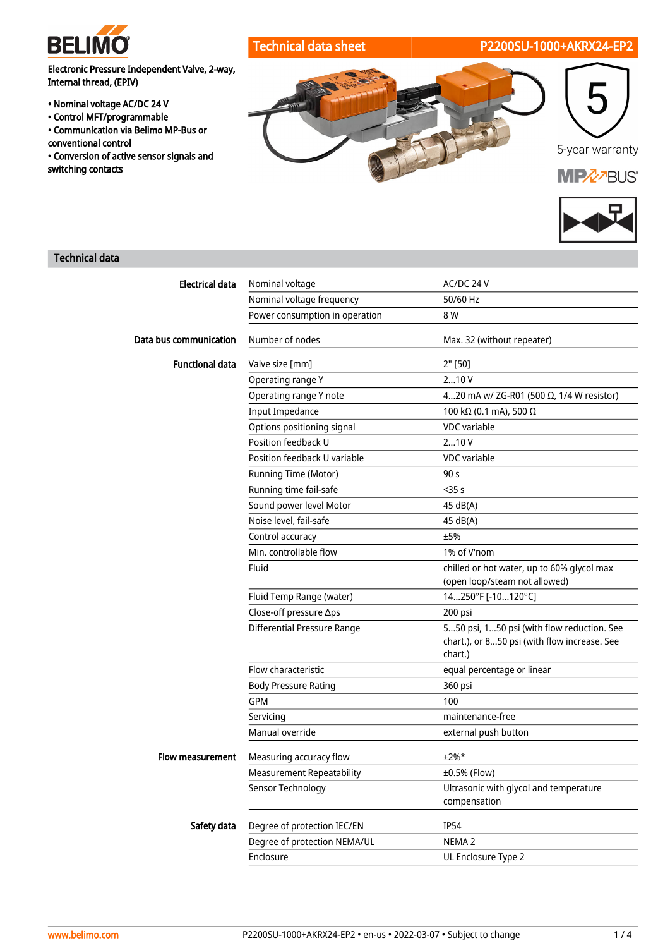

# Technical data sheet P2200SU-1000+AKRX24-EP2

Electronic Pressure Independent Valve, 2-way, Internal thread, (EPIV)

- Nominal voltage AC/DC 24 V
- Control MFT/programmable
- Communication via Belimo MP-Bus or conventional control
- Conversion of active sensor signals and switching contacts





# Technical data

| <b>Electrical data</b> | Nominal voltage                    | AC/DC 24 V                                                                                            |
|------------------------|------------------------------------|-------------------------------------------------------------------------------------------------------|
|                        | Nominal voltage frequency          | 50/60 Hz                                                                                              |
|                        | Power consumption in operation     | 8 W                                                                                                   |
| Data bus communication | Number of nodes                    | Max. 32 (without repeater)                                                                            |
| <b>Functional data</b> | Valve size [mm]                    | 2" [50]                                                                                               |
|                        | Operating range Y                  | 210V                                                                                                  |
|                        | Operating range Y note             | 420 mA w/ ZG-R01 (500 Ω, 1/4 W resistor)                                                              |
|                        | <b>Input Impedance</b>             | 100 kΩ (0.1 mA), 500 Ω                                                                                |
|                        | Options positioning signal         | <b>VDC</b> variable                                                                                   |
|                        | Position feedback U                | 210V                                                                                                  |
|                        | Position feedback U variable       | <b>VDC</b> variable                                                                                   |
|                        | Running Time (Motor)               | 90 <sub>s</sub>                                                                                       |
|                        | Running time fail-safe             | $<$ 35 $s$                                                                                            |
|                        | Sound power level Motor            | 45 dB(A)                                                                                              |
|                        | Noise level, fail-safe             | 45 dB(A)                                                                                              |
|                        | Control accuracy                   | ±5%                                                                                                   |
|                        | Min. controllable flow             | 1% of V'nom                                                                                           |
|                        | Fluid                              | chilled or hot water, up to 60% glycol max<br>(open loop/steam not allowed)                           |
|                        | Fluid Temp Range (water)           | 14250°F [-10120°C]                                                                                    |
|                        | Close-off pressure ∆ps             | 200 psi                                                                                               |
|                        | <b>Differential Pressure Range</b> | 550 psi, 150 psi (with flow reduction. See<br>chart.), or 850 psi (with flow increase. See<br>chart.) |
|                        | Flow characteristic                | equal percentage or linear                                                                            |
|                        | <b>Body Pressure Rating</b>        | 360 psi                                                                                               |
|                        | <b>GPM</b>                         | 100                                                                                                   |
|                        | Servicing                          | maintenance-free                                                                                      |
|                        | Manual override                    | external push button                                                                                  |
| Flow measurement       | Measuring accuracy flow            | $±2%$ *                                                                                               |
|                        | <b>Measurement Repeatability</b>   | ±0.5% (Flow)                                                                                          |
|                        | Sensor Technology                  | Ultrasonic with glycol and temperature<br>compensation                                                |
| Safety data            | Degree of protection IEC/EN        | <b>IP54</b>                                                                                           |
|                        | Degree of protection NEMA/UL       | NEMA <sub>2</sub>                                                                                     |
|                        | Enclosure                          | UL Enclosure Type 2                                                                                   |
|                        |                                    |                                                                                                       |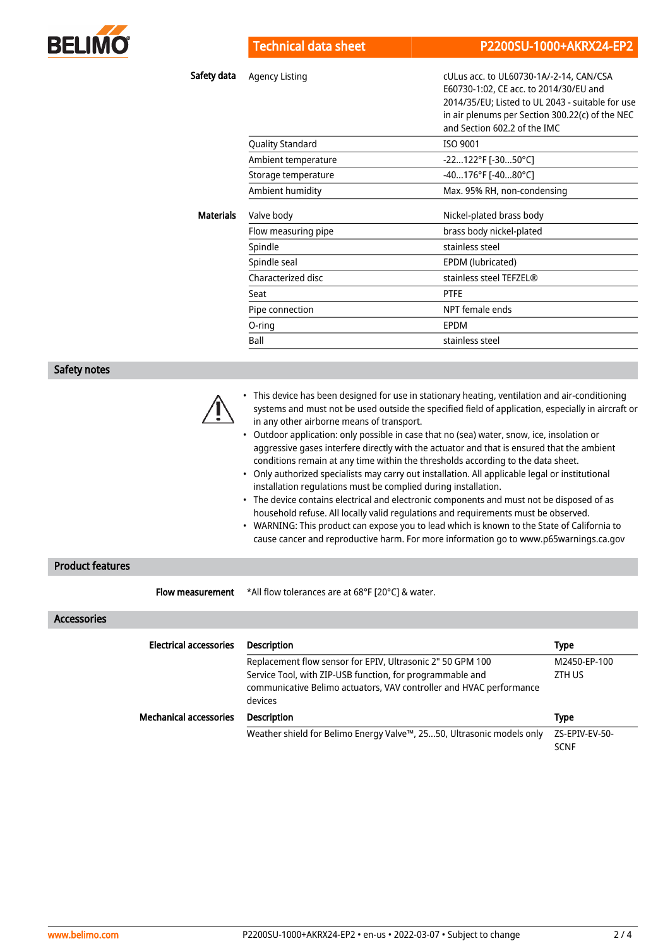

Safety data Agency Listing and the cultus acc. to UL60730-1A/-2-14, CAN/CSA E60730-1:02, CE acc. to 2014/30/EU and 2014/35/EU; Listed to UL 2043 - suitable for use in air plenums per Section 300.22(c) of the NEC

|                  |                         | a p. a  p a. section. section(s) |
|------------------|-------------------------|----------------------------------|
|                  |                         | and Section 602.2 of the IMC     |
|                  | <b>Quality Standard</b> | <b>ISO 9001</b>                  |
|                  | Ambient temperature     | -22122°F [-3050°C]               |
|                  | Storage temperature     | -40176°F [-4080°C]               |
|                  | Ambient humidity        | Max. 95% RH, non-condensing      |
| <b>Materials</b> | Valve body              | Nickel-plated brass body         |
|                  | Flow measuring pipe     | brass body nickel-plated         |
|                  | Spindle                 | stainless steel                  |
|                  | Spindle seal            | EPDM (lubricated)                |
|                  | Characterized disc      | stainless steel TEFZEL®          |
|                  | Seat                    | <b>PTFE</b>                      |
|                  | Pipe connection         | NPT female ends                  |
|                  | O-ring                  | EPDM                             |
|                  | Ball                    | stainless steel                  |
|                  |                         |                                  |

#### Safety notes



- This device has been designed for use in stationary heating, ventilation and air-conditioning systems and must not be used outside the specified field of application, especially in aircraft or in any other airborne means of transport.
- Outdoor application: only possible in case that no (sea) water, snow, ice, insolation or aggressive gases interfere directly with the actuator and that is ensured that the ambient conditions remain at any time within the thresholds according to the data sheet.
- Only authorized specialists may carry out installation. All applicable legal or institutional installation regulations must be complied during installation.
- The device contains electrical and electronic components and must not be disposed of as household refuse. All locally valid regulations and requirements must be observed.
- WARNING: This product can expose you to lead which is known to the State of California to cause cancer and reproductive harm. For more information go to www.p65warnings.ca.gov

## Product features

Flow measurement

\*All flow tolerances are at 68°F [20°C] & water.

### Accessories

| <b>Electrical accessories</b> | <b>Description</b>                                                                                                                          | Type                          |
|-------------------------------|---------------------------------------------------------------------------------------------------------------------------------------------|-------------------------------|
|                               | Replacement flow sensor for EPIV, Ultrasonic 2" 50 GPM 100                                                                                  | M2450-EP-100                  |
|                               | Service Tool, with ZIP-USB function, for programmable and<br>communicative Belimo actuators, VAV controller and HVAC performance<br>devices | ZTH US                        |
| <b>Mechanical accessories</b> | <b>Description</b>                                                                                                                          | <b>Type</b>                   |
|                               | Weather shield for Belimo Energy Valve™, 2550, Ultrasonic models only                                                                       | ZS-EPIV-EV-50-<br><b>SCNF</b> |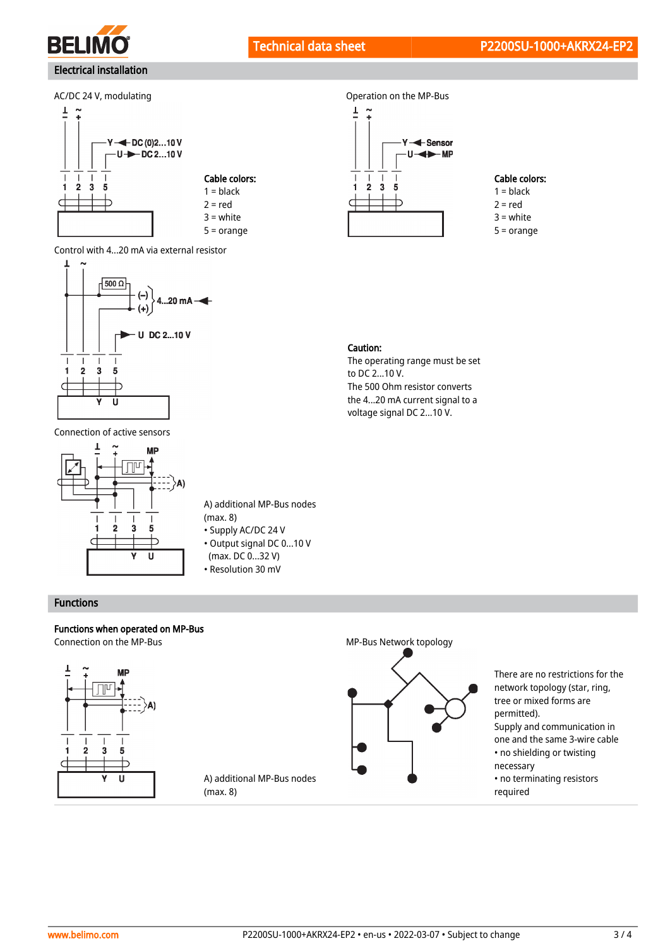



Control with 4...20 mA via external resistor



Connection of active sensors



A) additional MP-Bus nodes (max. 8)

- Supply AC/DC 24 V
- (max. DC 0...32 V)

A) additional MP-Bus nodes

(max. 8)

• Resolution 30 mV

### Functions

### Functions when operated on MP-Bus Connection on the MP-Bus MP-Bus Network topology





## Cable colors:

 $1 = **black**$  $2 = red$ 3 = white

 $5 = \text{orange}$ 

#### Caution:

The operating range must be set to DC 2...10 V. The 500 Ohm resistor converts the 4...20 mA current signal to a voltage signal DC 2...10 V.

- Output signal DC 0...10 V
- 



There are no restrictions for the network topology (star, ring, tree or mixed forms are permitted). Supply and communication in one and the same 3-wire cable • no shielding or twisting necessary • no terminating resistors

required